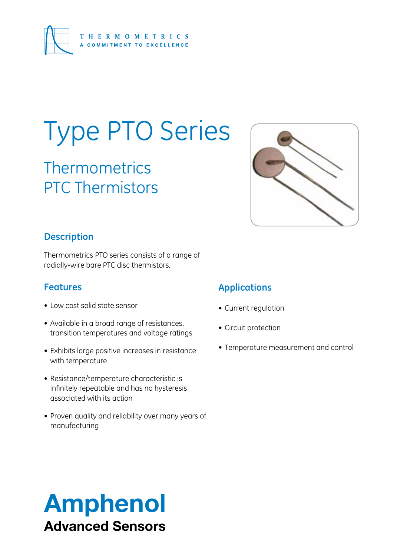

# Type PTO Series

**Thermometrics** PTC Thermistors



# **Description**

Thermometrics PTO series consists of a range of radially-wire bare PTC disc thermistors.

# **Features**

- Low cost solid state sensor
- Available in a broad range of resistances, transition temperatures and voltage ratings
- Exhibits large positive increases in resistance with temperature
- • Resistance/temperature characteristic is infinitely repeatable and has no hysteresis associated with its action
- Proven quality and reliability over many years of manufacturing

# **Applications**

- • Current regulation
- • Circuit protection
- Temperature measurement and control

# Amphenol Advanced Sensors